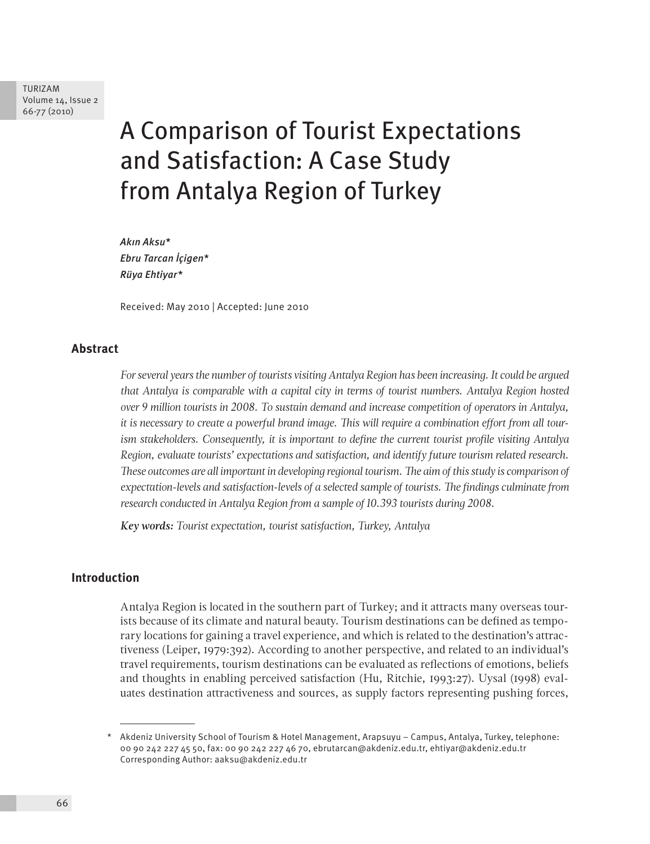TURIZAM Volume 14, Issue 2 66-77 (2010)

# A Comparison of Tourist Expectations and Satisfaction: A Case Study from Antalya Region of Turkey

*Akın Aksu\* Ebru Tarcan İçigen\* Rüya Ehtiyar\**

Received: May 2010 | Accepted: June 2010

# **Abstract**

*For several years the number of tourists visiting Antalya Region has been increasing. It could be argued that Antalya is comparable with a capital city in terms of tourist numbers. Antalya Region hosted over 9 million tourists in 2008. To sustain demand and increase competition of operators in Antalya, it is necessary to create a powerful brand image. This will require a combination effort from all tourism stakeholders. Consequently, it is important to define the current tourist profile visiting Antalya Region, evaluate tourists' expectations and satisfaction, and identify future tourism related research. These outcomes are all important in developing regional tourism. The aim of this study is comparison of expectation-levels and satisfaction-levels of a selected sample of tourists. The findings culminate from research conducted in Antalya Region from a sample of 10.393 tourists during 2008.*

*Key words: Tourist expectation, tourist satisfaction, Turkey, Antalya*

# **Introduction**

Antalya Region is located in the southern part of Turkey; and it attracts many overseas tourists because of its climate and natural beauty. Tourism destinations can be defined as temporary locations for gaining a travel experience, and which is related to the destination's attractiveness (Leiper, 1979:392). According to another perspective, and related to an individual's travel requirements, tourism destinations can be evaluated as reflections of emotions, beliefs and thoughts in enabling perceived satisfaction (Hu, Ritchie, 1993:27). Uysal (1998) evaluates destination attractiveness and sources, as supply factors representing pushing forces,

<sup>\*</sup> Akdeniz University School of Tourism & Hotel Management, Arapsuyu – Campus, Antalya, Turkey, telephone: 00 90 242 227 45 50, fax: 00 90 242 227 46 70, ebrutarcan@akdeniz.edu.tr, ehtiyar@akdeniz.edu.tr Corresponding Author: aaksu@akdeniz.edu.tr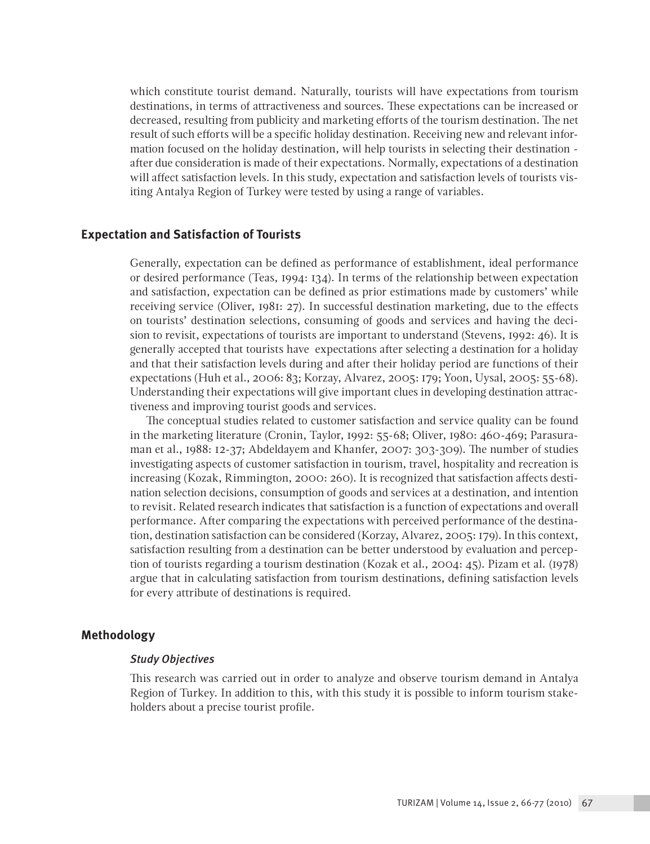which constitute tourist demand. Naturally, tourists will have expectations from tourism destinations, in terms of attractiveness and sources. These expectations can be increased or decreased, resulting from publicity and marketing efforts of the tourism destination. The net result of such efforts will be a specific holiday destination. Receiving new and relevant information focused on the holiday destination, will help tourists in selecting their destination after due consideration is made of their expectations. Normally, expectations of a destination will affect satisfaction levels. In this study, expectation and satisfaction levels of tourists visiting Antalya Region of Turkey were tested by using a range of variables.

# **Expectation and Satisfaction of Tourists**

Generally, expectation can be defined as performance of establishment, ideal performance or desired performance (Teas, 1994: 134). In terms of the relationship between expectation and satisfaction, expectation can be defined as prior estimations made by customers' while receiving service (Oliver, 1981: 27). In successful destination marketing, due to the effects on tourists' destination selections, consuming of goods and services and having the decision to revisit, expectations of tourists are important to understand (Stevens, 1992: 46). It is generally accepted that tourists have expectations after selecting a destination for a holiday and that their satisfaction levels during and after their holiday period are functions of their expectations (Huh et al., 2006: 83; Korzay, Alvarez, 2005: 179; Yoon, Uysal, 2005: 55-68). Understanding their expectations will give important clues in developing destination attractiveness and improving tourist goods and services.

The conceptual studies related to customer satisfaction and service quality can be found in the marketing literature (Cronin, Taylor, 1992: 55-68; Oliver, 1980: 460-469; Parasuraman et al., 1988: 12-37; Abdeldayem and Khanfer, 2007: 303-309). The number of studies investigating aspects of customer satisfaction in tourism, travel, hospitality and recreation is increasing (Kozak, Rimmington, 2000: 260). It is recognized that satisfaction affects destination selection decisions, consumption of goods and services at a destination, and intention to revisit. Related research indicates that satisfaction is a function of expectations and overall performance. After comparing the expectations with perceived performance of the destination, destination satisfaction can be considered (Korzay, Alvarez, 2005: 179). In this context, satisfaction resulting from a destination can be better understood by evaluation and perception of tourists regarding a tourism destination (Kozak et al., 2004: 45). Pizam et al. (1978) argue that in calculating satisfaction from tourism destinations, defining satisfaction levels for every attribute of destinations is required.

# **Methodology**

# *Study Objectives*

This research was carried out in order to analyze and observe tourism demand in Antalya Region of Turkey. In addition to this, with this study it is possible to inform tourism stakeholders about a precise tourist profile.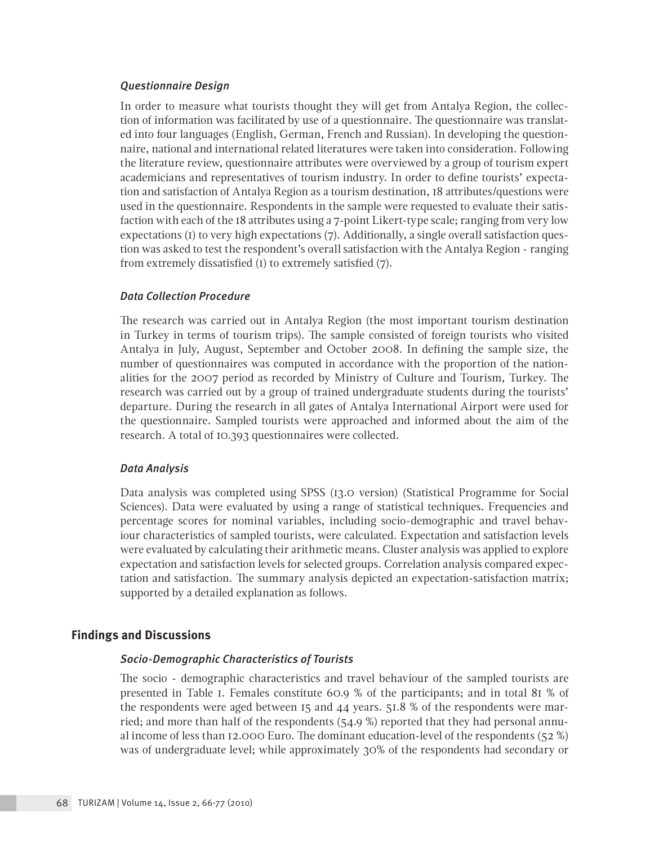## *Questionnaire Design*

In order to measure what tourists thought they will get from Antalya Region, the collection of information was facilitated by use of a questionnaire. The questionnaire was translated into four languages (English, German, French and Russian). In developing the questionnaire, national and international related literatures were taken into consideration. Following the literature review, questionnaire attributes were overviewed by a group of tourism expert academicians and representatives of tourism industry. In order to define tourists' expectation and satisfaction of Antalya Region as a tourism destination, 18 attributes/questions were used in the questionnaire. Respondents in the sample were requested to evaluate their satisfaction with each of the 18 attributes using a 7-point Likert-type scale; ranging from very low expectations (1) to very high expectations (7). Additionally, a single overall satisfaction question was asked to test the respondent's overall satisfaction with the Antalya Region - ranging from extremely dissatisfied (1) to extremely satisfied (7).

# *Data Collection Procedure*

The research was carried out in Antalya Region (the most important tourism destination in Turkey in terms of tourism trips). The sample consisted of foreign tourists who visited Antalya in July, August, September and October 2008. In defining the sample size, the number of questionnaires was computed in accordance with the proportion of the nationalities for the 2007 period as recorded by Ministry of Culture and Tourism, Turkey. The research was carried out by a group of trained undergraduate students during the tourists' departure. During the research in all gates of Antalya International Airport were used for the questionnaire. Sampled tourists were approached and informed about the aim of the research. A total of 10.393 questionnaires were collected.

## *Data Analysis*

Data analysis was completed using SPSS (13.0 version) (Statistical Programme for Social Sciences). Data were evaluated by using a range of statistical techniques. Frequencies and percentage scores for nominal variables, including socio-demographic and travel behaviour characteristics of sampled tourists, were calculated. Expectation and satisfaction levels were evaluated by calculating their arithmetic means. Cluster analysis was applied to explore expectation and satisfaction levels for selected groups. Correlation analysis compared expectation and satisfaction. The summary analysis depicted an expectation-satisfaction matrix; supported by a detailed explanation as follows.

#### **Findings and Discussions**

# *Socio-Demographic Characteristics of Tourists*

The socio - demographic characteristics and travel behaviour of the sampled tourists are presented in Table 1. Females constitute 60.9 % of the participants; and in total 81 % of the respondents were aged between 15 and 44 years. 51.8 % of the respondents were married; and more than half of the respondents (54.9 %) reported that they had personal annual income of less than 12.000 Euro. The dominant education-level of the respondents (52 %) was of undergraduate level; while approximately 30% of the respondents had secondary or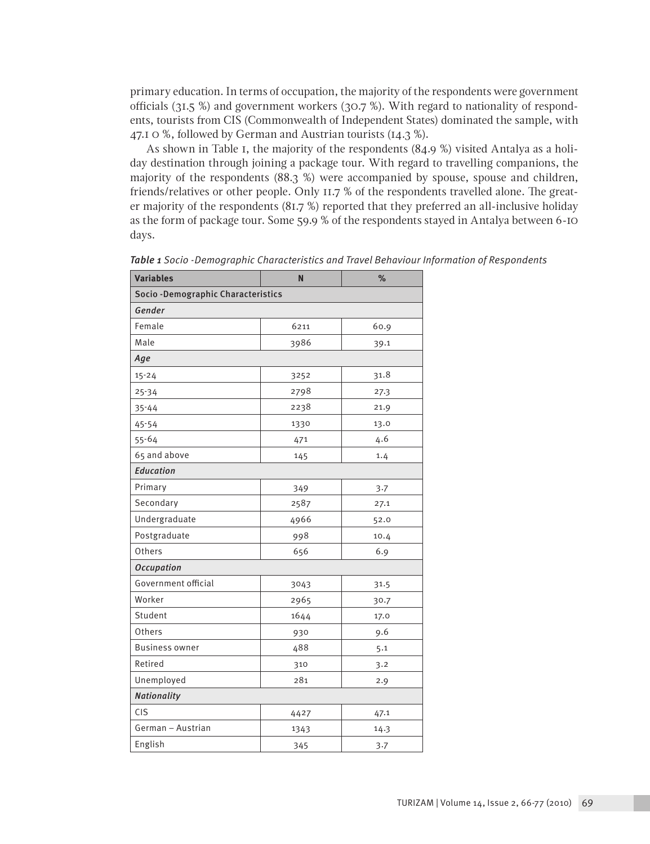primary education. In terms of occupation, the majority of the respondents were government officials (31.5 %) and government workers (30.7 %). With regard to nationality of respondents, tourists from CIS (Commonwealth of Independent States) dominated the sample, with 47.1 0 %, followed by German and Austrian tourists (14.3 %).

As shown in Table 1, the majority of the respondents (84.9 %) visited Antalya as a holiday destination through joining a package tour. With regard to travelling companions, the majority of the respondents (88.3 %) were accompanied by spouse, spouse and children, friends/relatives or other people. Only 11.7 % of the respondents travelled alone. The greater majority of the respondents (81.7 %) reported that they preferred an all-inclusive holiday as the form of package tour. Some 59.9 % of the respondents stayed in Antalya between 6-10 days.

| <b>Variables</b>                    | N    | %    |  |  |  |  |
|-------------------------------------|------|------|--|--|--|--|
| Socio - Demographic Characteristics |      |      |  |  |  |  |
| Gender                              |      |      |  |  |  |  |
| Female                              | 6211 | 60.9 |  |  |  |  |
| Male                                | 3986 | 39.1 |  |  |  |  |
| Age                                 |      |      |  |  |  |  |
| $15 - 24$                           | 3252 | 31.8 |  |  |  |  |
| $25 - 34$                           | 2798 | 27.3 |  |  |  |  |
| $35 - 44$                           | 2238 | 21.9 |  |  |  |  |
| $45 - 54$                           | 1330 | 13.0 |  |  |  |  |
| $55 - 64$                           | 471  | 4.6  |  |  |  |  |
| 65 and above                        | 145  | 1.4  |  |  |  |  |
| <b>Education</b>                    |      |      |  |  |  |  |
| Primary                             | 349  | 3.7  |  |  |  |  |
| Secondary                           | 2587 | 27.1 |  |  |  |  |
| Undergraduate                       | 4966 | 52.0 |  |  |  |  |
| Postgraduate                        | 998  | 10.4 |  |  |  |  |
| Others                              | 656  | 6.9  |  |  |  |  |
| <b>Occupation</b>                   |      |      |  |  |  |  |
| Government official                 | 3043 | 31.5 |  |  |  |  |
| Worker                              | 2965 | 30.7 |  |  |  |  |
| Student                             | 1644 | 17.0 |  |  |  |  |
| Others                              | 930  | 9.6  |  |  |  |  |
| <b>Business owner</b>               | 488  | 5.1  |  |  |  |  |
| Retired                             | 310  | 3.2  |  |  |  |  |
| Unemployed                          | 281  | 2.9  |  |  |  |  |
| <b>Nationality</b>                  |      |      |  |  |  |  |
| <b>CIS</b>                          | 4427 | 47.1 |  |  |  |  |
| German - Austrian                   | 1343 | 14.3 |  |  |  |  |
| English                             | 345  | 3.7  |  |  |  |  |

*Table 1 Socio -Demographic Characteristics and Travel Behaviour Information of Respondents*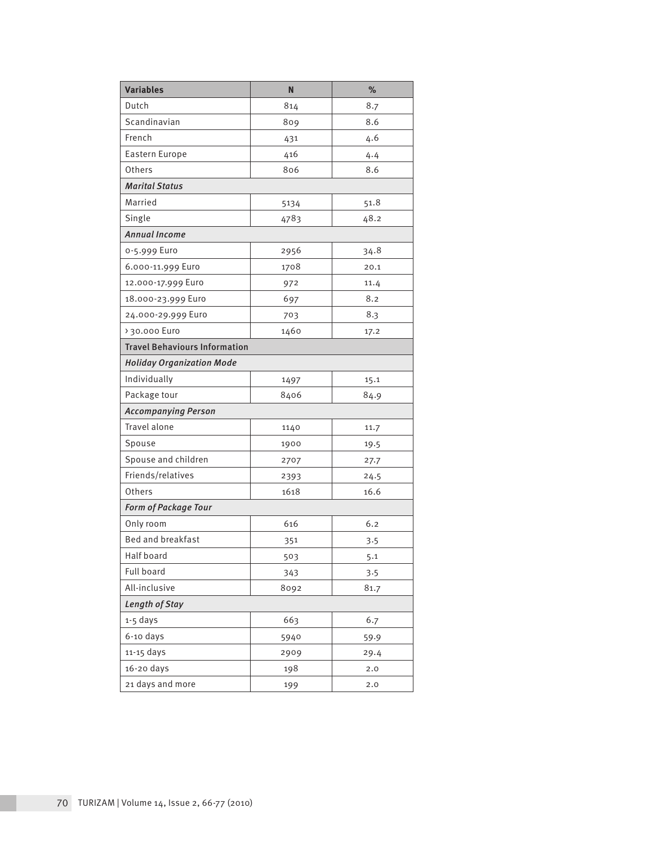| <b>Variables</b>                     | N    | $\frac{9}{6}$ |  |  |  |  |
|--------------------------------------|------|---------------|--|--|--|--|
| Dutch                                | 814  | 8.7           |  |  |  |  |
| Scandinavian                         | 809  | 8.6           |  |  |  |  |
| French                               | 431  | 4.6           |  |  |  |  |
| Eastern Europe                       | 416  | 4.4           |  |  |  |  |
| Others                               | 806  | 8.6           |  |  |  |  |
| <b>Marital Status</b>                |      |               |  |  |  |  |
| Married                              | 5134 | 51.8          |  |  |  |  |
| Single                               | 4783 | 48.2          |  |  |  |  |
| <b>Annual Income</b>                 |      |               |  |  |  |  |
| 0-5.999 Euro                         | 2956 | 34.8          |  |  |  |  |
| 6.000-11.999 Euro                    | 1708 | 20.1          |  |  |  |  |
| 12.000-17.999 Euro                   | 972  | 11.4          |  |  |  |  |
| 18.000-23.999 Euro                   | 697  | 8.2           |  |  |  |  |
| 24.000-29.999 Euro                   | 703  | 8.3           |  |  |  |  |
| > 30.000 Euro                        | 1460 | 17.2          |  |  |  |  |
| <b>Travel Behaviours Information</b> |      |               |  |  |  |  |
| <b>Holiday Organization Mode</b>     |      |               |  |  |  |  |
| Individually                         | 1497 | 15.1          |  |  |  |  |
| Package tour                         | 8406 | 84.9          |  |  |  |  |
| <b>Accompanying Person</b>           |      |               |  |  |  |  |
| Travel alone                         | 1140 | 11.7          |  |  |  |  |
| Spouse                               | 1900 | 19.5          |  |  |  |  |
| Spouse and children                  | 2707 | 27.7          |  |  |  |  |
| Friends/relatives                    | 2393 | 24.5          |  |  |  |  |
| Others                               | 1618 | 16.6          |  |  |  |  |
| Form of Package Tour                 |      |               |  |  |  |  |
| Only room                            | 616  | 6.2           |  |  |  |  |
| Bed and breakfast                    | 351  | 3.5           |  |  |  |  |
| Half board                           | 503  | 5.1           |  |  |  |  |
| <b>Full board</b>                    | 343  | 3.5           |  |  |  |  |
| All-inclusive                        | 8092 | 81.7          |  |  |  |  |
| Length of Stay                       |      |               |  |  |  |  |
| 1-5 days                             | 663  | 6.7           |  |  |  |  |
| $6-10$ days                          | 5940 | 59.9          |  |  |  |  |
| 11-15 days                           | 2909 | 29.4          |  |  |  |  |
| 16-20 days                           | 198  | 2.0           |  |  |  |  |
| 21 days and more                     | 199  | 2.0           |  |  |  |  |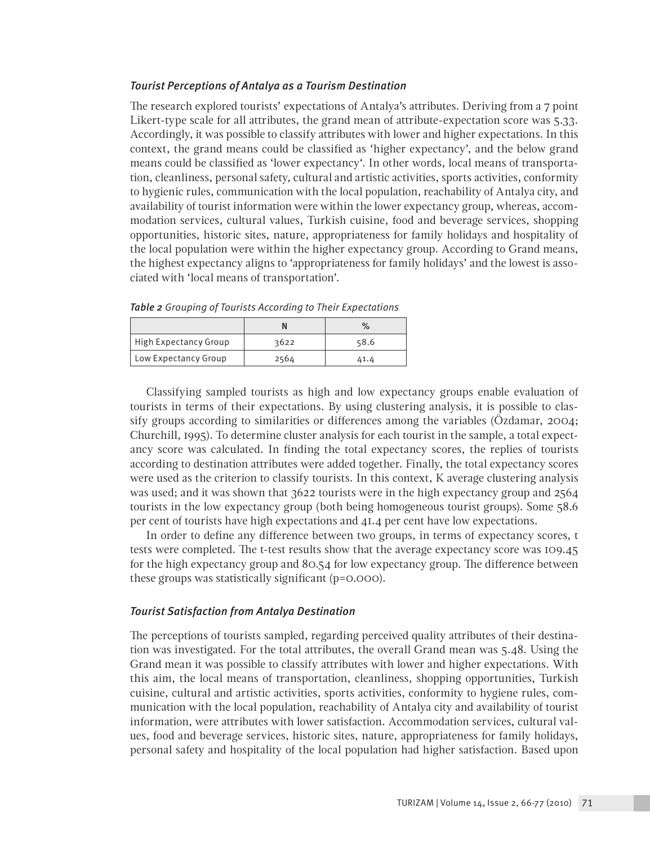## *Tourist Perceptions of Antalya as a Tourism Destination*

The research explored tourists' expectations of Antalya's attributes. Deriving from a 7 point Likert-type scale for all attributes, the grand mean of attribute-expectation score was 5.33. Accordingly, it was possible to classify attributes with lower and higher expectations. In this context, the grand means could be classified as 'higher expectancy', and the below grand means could be classified as 'lower expectancy'. In other words, local means of transportation, cleanliness, personal safety, cultural and artistic activities, sports activities, conformity to hygienic rules, communication with the local population, reachability of Antalya city, and availability of tourist information were within the lower expectancy group, whereas, accommodation services, cultural values, Turkish cuisine, food and beverage services, shopping opportunities, historic sites, nature, appropriateness for family holidays and hospitality of the local population were within the higher expectancy group. According to Grand means, the highest expectancy aligns to 'appropriateness for family holidays' and the lowest is associated with 'local means of transportation'.

|                       |      | $\%$ |
|-----------------------|------|------|
| High Expectancy Group | 3622 | 58.6 |
| Low Expectancy Group  | 2564 | 41.4 |

*Table 2 Grouping of Tourists According to Their Expectations*

Classifying sampled tourists as high and low expectancy groups enable evaluation of tourists in terms of their expectations. By using clustering analysis, it is possible to classify groups according to similarities or differences among the variables (Özdamar, 2004; Churchill, 1995). To determine cluster analysis for each tourist in the sample, a total expectancy score was calculated. In finding the total expectancy scores, the replies of tourists according to destination attributes were added together. Finally, the total expectancy scores were used as the criterion to classify tourists. In this context, K average clustering analysis was used; and it was shown that 3622 tourists were in the high expectancy group and 2564 tourists in the low expectancy group (both being homogeneous tourist groups). Some 58.6 per cent of tourists have high expectations and 41.4 per cent have low expectations.

In order to define any difference between two groups, in terms of expectancy scores, t tests were completed. The t-test results show that the average expectancy score was 109.45 for the high expectancy group and 80.54 for low expectancy group. The difference between these groups was statistically significant (p=0.000).

## *Tourist Satisfaction from Antalya Destination*

The perceptions of tourists sampled, regarding perceived quality attributes of their destination was investigated. For the total attributes, the overall Grand mean was 5.48. Using the Grand mean it was possible to classify attributes with lower and higher expectations. With this aim, the local means of transportation, cleanliness, shopping opportunities, Turkish cuisine, cultural and artistic activities, sports activities, conformity to hygiene rules, communication with the local population, reachability of Antalya city and availability of tourist information, were attributes with lower satisfaction. Accommodation services, cultural values, food and beverage services, historic sites, nature, appropriateness for family holidays, personal safety and hospitality of the local population had higher satisfaction. Based upon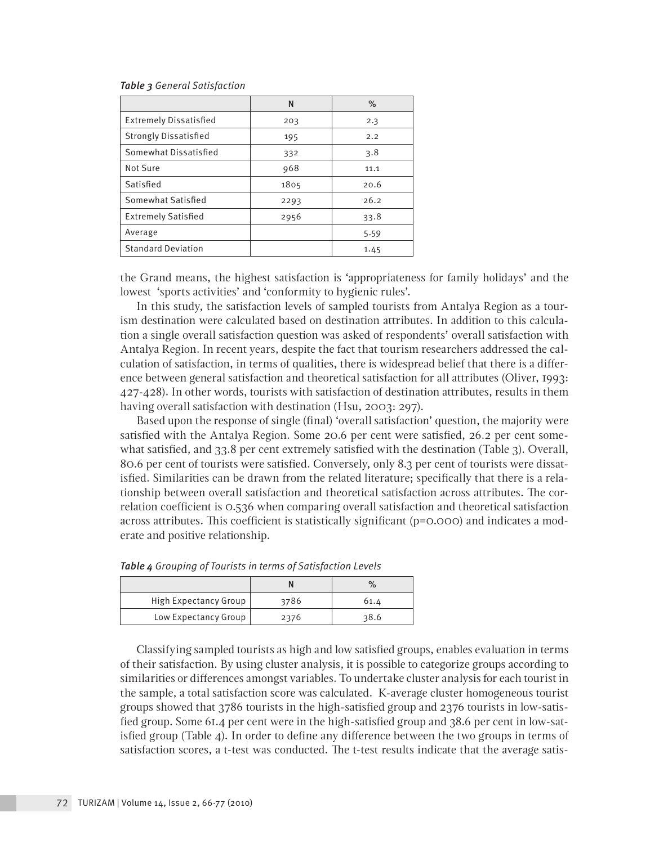#### *Table 3 General Satisfaction*

|                               | N    | $\%$ |
|-------------------------------|------|------|
| <b>Extremely Dissatisfied</b> | 203  | 2.3  |
| <b>Strongly Dissatisfied</b>  | 195  | 2.2  |
| Somewhat Dissatisfied         | 332  | 3.8  |
| Not Sure                      | 968  | 11.1 |
| Satisfied                     | 1805 | 20.6 |
| Somewhat Satisfied            | 2293 | 26.2 |
| <b>Extremely Satisfied</b>    | 2956 | 33.8 |
| Average                       |      | 5.59 |
| <b>Standard Deviation</b>     |      | 1.45 |

the Grand means, the highest satisfaction is 'appropriateness for family holidays' and the lowest 'sports activities' and 'conformity to hygienic rules'.

In this study, the satisfaction levels of sampled tourists from Antalya Region as a tourism destination were calculated based on destination attributes. In addition to this calculation a single overall satisfaction question was asked of respondents' overall satisfaction with Antalya Region. In recent years, despite the fact that tourism researchers addressed the calculation of satisfaction, in terms of qualities, there is widespread belief that there is a difference between general satisfaction and theoretical satisfaction for all attributes (Oliver, 1993: 427-428). In other words, tourists with satisfaction of destination attributes, results in them having overall satisfaction with destination (Hsu, 2003: 297).

Based upon the response of single (final) 'overall satisfaction' question, the majority were satisfied with the Antalya Region. Some 20.6 per cent were satisfied, 26.2 per cent somewhat satisfied, and 33.8 per cent extremely satisfied with the destination (Table 3). Overall, 80.6 per cent of tourists were satisfied. Conversely, only 8.3 per cent of tourists were dissatisfied. Similarities can be drawn from the related literature; specifically that there is a relationship between overall satisfaction and theoretical satisfaction across attributes. The correlation coefficient is 0.536 when comparing overall satisfaction and theoretical satisfaction across attributes. This coefficient is statistically significant (p=0.000) and indicates a moderate and positive relationship.

|                       |      | $\%$ |
|-----------------------|------|------|
| High Expectancy Group | 3786 | 61.4 |
| Low Expectancy Group  | 2376 | 38.6 |

|  |  |  |  |  |  |  | <b>Table 4</b> Grouping of Tourists in terms of Satisfaction Levels |  |
|--|--|--|--|--|--|--|---------------------------------------------------------------------|--|
|--|--|--|--|--|--|--|---------------------------------------------------------------------|--|

Classifying sampled tourists as high and low satisfied groups, enables evaluation in terms of their satisfaction. By using cluster analysis, it is possible to categorize groups according to similarities or differences amongst variables. To undertake cluster analysis for each tourist in the sample, a total satisfaction score was calculated. K-average cluster homogeneous tourist groups showed that 3786 tourists in the high-satisfied group and 2376 tourists in low-satisfied group. Some 61.4 per cent were in the high-satisfied group and 38.6 per cent in low-satisfied group (Table 4). In order to define any difference between the two groups in terms of satisfaction scores, a t-test was conducted. The t-test results indicate that the average satis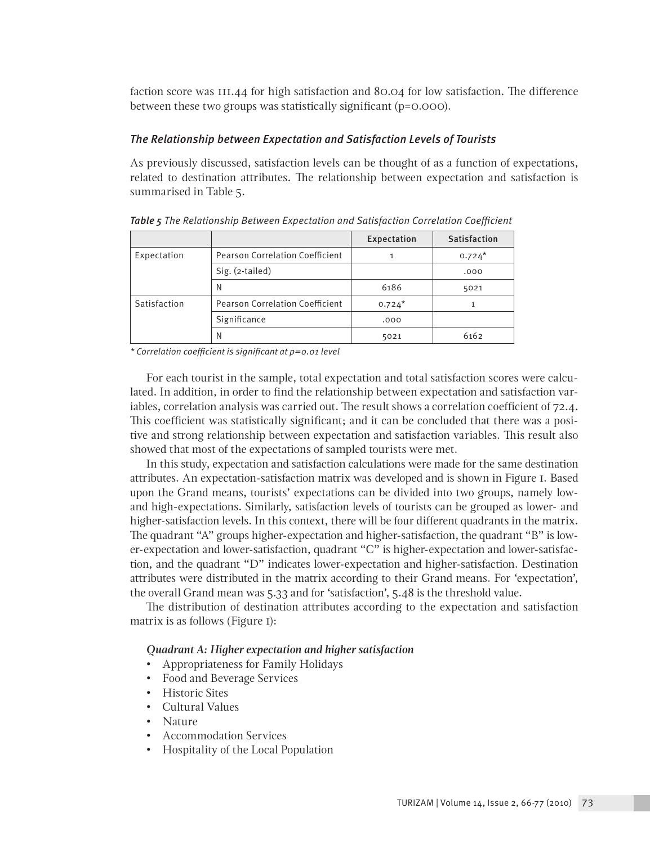faction score was 111.44 for high satisfaction and 80.04 for low satisfaction. The difference between these two groups was statistically significant (p=0.000).

# *The Relationship between Expectation and Satisfaction Levels of Tourists*

As previously discussed, satisfaction levels can be thought of as a function of expectations, related to destination attributes. The relationship between expectation and satisfaction is summarised in Table 5.

|              |                                        | Expectation | <b>Satisfaction</b> |
|--------------|----------------------------------------|-------------|---------------------|
| Expectation  | <b>Pearson Correlation Coefficient</b> | 1           | $0.724*$            |
|              | Sig. (2-tailed)                        |             | .000                |
|              | N                                      | 6186        | 5021                |
| Satisfaction | <b>Pearson Correlation Coefficient</b> | $0.724*$    |                     |
|              | Significance                           | .000        |                     |
|              | Ν                                      | 5021        | 6162                |

*Table 5 The Relationship Between Expectation and Satisfaction Correlation Coefficient*

*\* Correlation coefficient is significant at p=0.01 level*

For each tourist in the sample, total expectation and total satisfaction scores were calculated. In addition, in order to find the relationship between expectation and satisfaction variables, correlation analysis was carried out. The result shows a correlation coefficient of 72.4. This coefficient was statistically significant; and it can be concluded that there was a positive and strong relationship between expectation and satisfaction variables. This result also showed that most of the expectations of sampled tourists were met.

In this study, expectation and satisfaction calculations were made for the same destination attributes. An expectation-satisfaction matrix was developed and is shown in Figure 1. Based upon the Grand means, tourists' expectations can be divided into two groups, namely lowand high-expectations. Similarly, satisfaction levels of tourists can be grouped as lower- and higher-satisfaction levels. In this context, there will be four different quadrants in the matrix. The quadrant "A" groups higher-expectation and higher-satisfaction, the quadrant "B" is lower-expectation and lower-satisfaction, quadrant "C" is higher-expectation and lower-satisfaction, and the quadrant "D" indicates lower-expectation and higher-satisfaction. Destination attributes were distributed in the matrix according to their Grand means. For 'expectation', the overall Grand mean was 5.33 and for 'satisfaction', 5.48 is the threshold value.

The distribution of destination attributes according to the expectation and satisfaction matrix is as follows (Figure 1):

# *Quadrant A: Higher expectation and higher satisfaction*

- Appropriateness for Family Holidays
- Food and Beverage Services
- Historic Sites
- Cultural Values
- Nature
- Accommodation Services
- Hospitality of the Local Population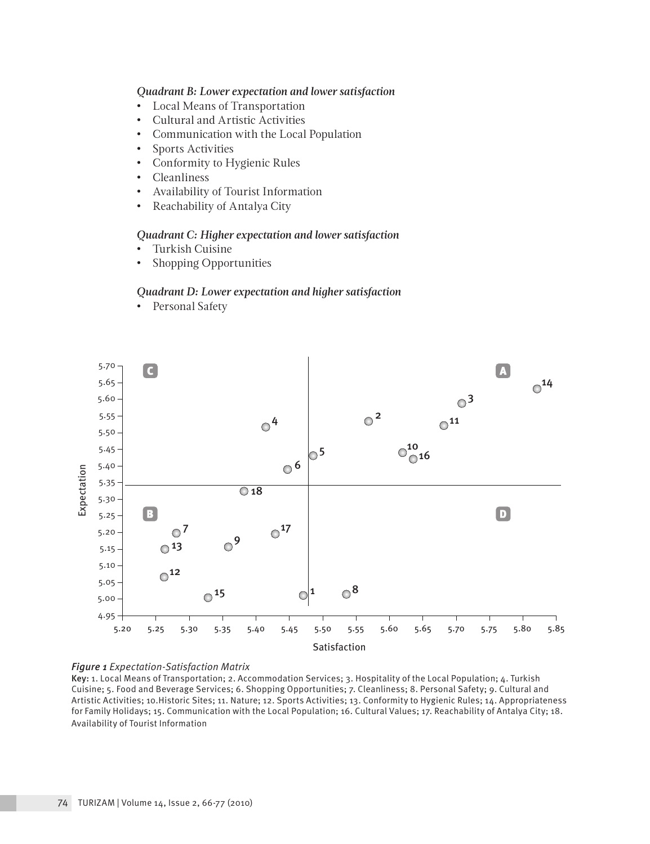# *Quadrant B: Lower expectation and lower satisfaction*

- Local Means of Transportation
- Cultural and Artistic Activities
- Communication with the Local Population
- Sports Activities
- Conformity to Hygienic Rules
- Cleanliness
- Availability of Tourist Information
- Reachability of Antalya City

#### *Quadrant C: Higher expectation and lower satisfaction*

- Turkish Cuisine
- Shopping Opportunities

#### *Quadrant D: Lower expectation and higher satisfaction*

• Personal Safety



#### *Figure 1 Expectation-Satisfaction Matrix*

Key: 1. Local Means of Transportation; 2. Accommodation Services; 3. Hospitality of the Local Population; 4. Turkish Cuisine; 5. Food and Beverage Services; 6. Shopping Opportunities; 7. Cleanliness; 8. Personal Safety; 9. Cultural and Artistic Activities; 10.Historic Sites; 11. Nature; 12. Sports Activities; 13. Conformity to Hygienic Rules; 14. Appropriateness for Family Holidays; 15. Communication with the Local Population; 16. Cultural Values; 17. Reachability of Antalya City; 18. Availability of Tourist Information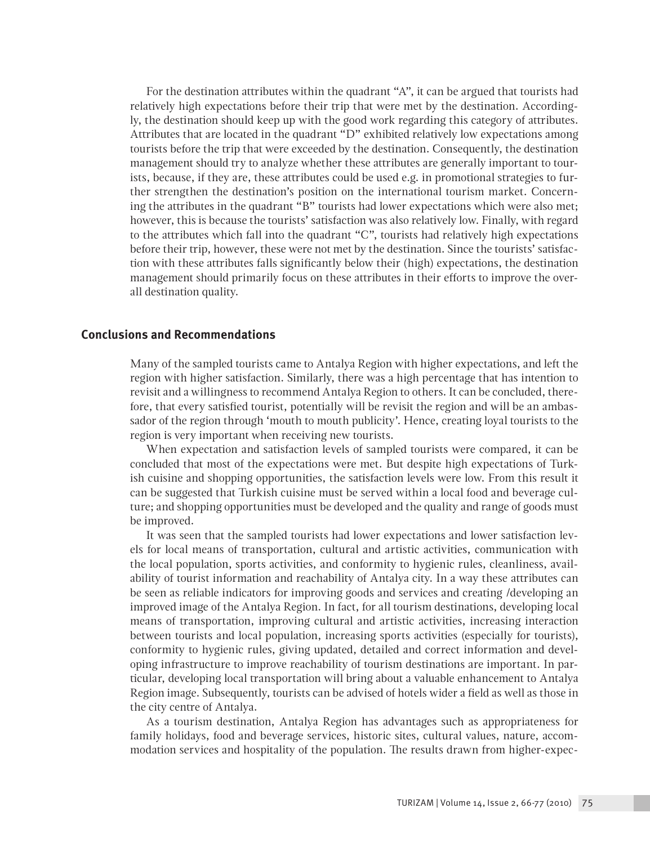For the destination attributes within the quadrant "A", it can be argued that tourists had relatively high expectations before their trip that were met by the destination. Accordingly, the destination should keep up with the good work regarding this category of attributes. Attributes that are located in the quadrant "D" exhibited relatively low expectations among tourists before the trip that were exceeded by the destination. Consequently, the destination management should try to analyze whether these attributes are generally important to tourists, because, if they are, these attributes could be used e.g. in promotional strategies to further strengthen the destination's position on the international tourism market. Concerning the attributes in the quadrant "B" tourists had lower expectations which were also met; however, this is because the tourists' satisfaction was also relatively low. Finally, with regard to the attributes which fall into the quadrant "C", tourists had relatively high expectations before their trip, however, these were not met by the destination. Since the tourists' satisfaction with these attributes falls significantly below their (high) expectations, the destination management should primarily focus on these attributes in their efforts to improve the overall destination quality.

# **Conclusions and Recommendations**

Many of the sampled tourists came to Antalya Region with higher expectations, and left the region with higher satisfaction. Similarly, there was a high percentage that has intention to revisit and a willingness to recommend Antalya Region to others. It can be concluded, therefore, that every satisfied tourist, potentially will be revisit the region and will be an ambassador of the region through 'mouth to mouth publicity'. Hence, creating loyal tourists to the region is very important when receiving new tourists.

When expectation and satisfaction levels of sampled tourists were compared, it can be concluded that most of the expectations were met. But despite high expectations of Turkish cuisine and shopping opportunities, the satisfaction levels were low. From this result it can be suggested that Turkish cuisine must be served within a local food and beverage culture; and shopping opportunities must be developed and the quality and range of goods must be improved.

It was seen that the sampled tourists had lower expectations and lower satisfaction levels for local means of transportation, cultural and artistic activities, communication with the local population, sports activities, and conformity to hygienic rules, cleanliness, availability of tourist information and reachability of Antalya city. In a way these attributes can be seen as reliable indicators for improving goods and services and creating /developing an improved image of the Antalya Region. In fact, for all tourism destinations, developing local means of transportation, improving cultural and artistic activities, increasing interaction between tourists and local population, increasing sports activities (especially for tourists), conformity to hygienic rules, giving updated, detailed and correct information and developing infrastructure to improve reachability of tourism destinations are important. In particular, developing local transportation will bring about a valuable enhancement to Antalya Region image. Subsequently, tourists can be advised of hotels wider a field as well as those in the city centre of Antalya.

As a tourism destination, Antalya Region has advantages such as appropriateness for family holidays, food and beverage services, historic sites, cultural values, nature, accommodation services and hospitality of the population. The results drawn from higher-expec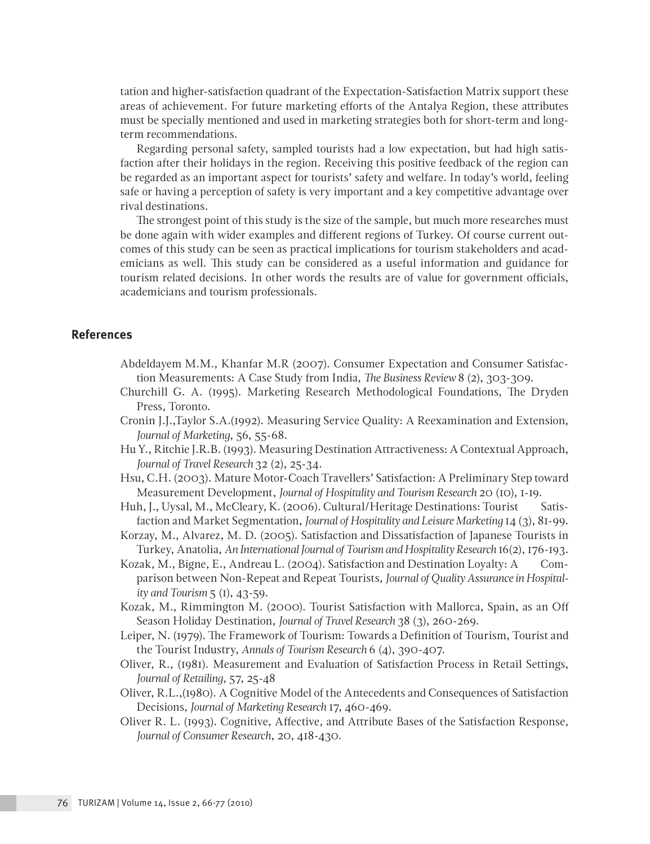tation and higher-satisfaction quadrant of the Expectation-Satisfaction Matrix support these areas of achievement. For future marketing efforts of the Antalya Region, these attributes must be specially mentioned and used in marketing strategies both for short-term and longterm recommendations.

Regarding personal safety, sampled tourists had a low expectation, but had high satisfaction after their holidays in the region. Receiving this positive feedback of the region can be regarded as an important aspect for tourists' safety and welfare. In today's world, feeling safe or having a perception of safety is very important and a key competitive advantage over rival destinations.

The strongest point of this study is the size of the sample, but much more researches must be done again with wider examples and different regions of Turkey. Of course current outcomes of this study can be seen as practical implications for tourism stakeholders and academicians as well. This study can be considered as a useful information and guidance for tourism related decisions. In other words the results are of value for government officials, academicians and tourism professionals.

# **References**

- Abdeldayem M.M., Khanfar M.R (2007). Consumer Expectation and Consumer Satisfaction Measurements: A Case Study from India, *The Business Review* 8 (2), 303-309.
- Churchill G. A. (1995). Marketing Research Methodological Foundations, The Dryden Press, Toronto.
- Cronin J.J.,Taylor S.A.(1992). Measuring Service Quality: A Reexamination and Extension, *Journal of Marketing*, 56, 55-68.
- Hu Y., Ritchie J.R.B. (1993). Measuring Destination Attractiveness: A Contextual Approach, *Journal of Travel Research* 32 (2), 25-34.
- Hsu, C.H. (2003). Mature Motor-Coach Travellers' Satisfaction: A Preliminary Step toward Measurement Development, *Journal of Hospitality and Tourism Research* 20 (10), 1-19.
- Huh, J., Uysal, M., McCleary, K. (2006). Cultural/Heritage Destinations: Tourist Satisfaction and Market Segmentation, *Journal of Hospitality and Leisure Marketing* 14 (3), 81-99.
- Korzay, M., Alvarez, M. D. (2005). Satisfaction and Dissatisfaction of Japanese Tourists in Turkey, Anatolia, *An International Journal of Tourism and Hospitality Research* 16(2), 176-193.
- Kozak, M., Bigne, E., Andreau L. (2004). Satisfaction and Destination Loyalty: A Comparison between Non-Repeat and Repeat Tourists, *Journal of Quality Assurance in Hospitality and Tourism* 5 (1), 43-59.
- Kozak, M., Rimmington M. (2000). Tourist Satisfaction with Mallorca, Spain, as an Off Season Holiday Destination, *Journal of Travel Research* 38 (3), 260-269.
- Leiper, N. (1979). The Framework of Tourism: Towards a Definition of Tourism, Tourist and the Tourist Industry, *Annals of Tourism Research* 6 (4), 390-407.
- Oliver, R., (1981). Measurement and Evaluation of Satisfaction Process in Retail Settings, *Journal of Retailing*, 57, 25-48
- Oliver, R.L.,(1980). A Cognitive Model of the Antecedents and Consequences of Satisfaction Decisions, *Journal of Marketing Research* 17, 460-469.
- Oliver R. L. (1993). Cognitive, Affective, and Attribute Bases of the Satisfaction Response, *Journal of Consumer Research*, 20, 418-430.